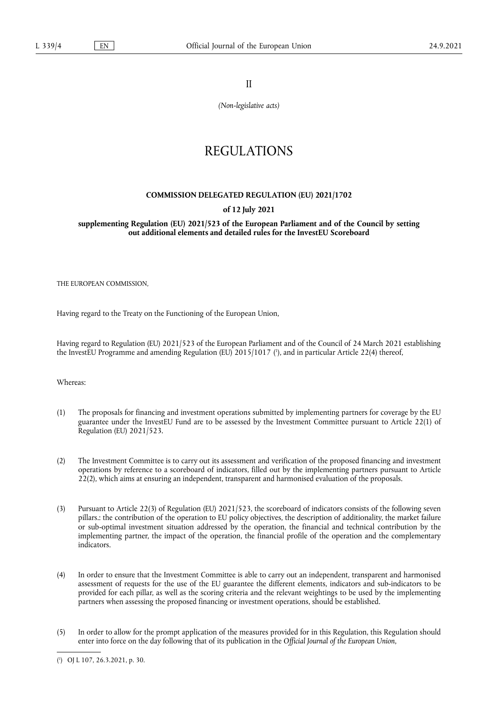II

*(Non-legislative acts)*

# REGULATIONS

### **COMMISSION DELEGATED REGULATION (EU) 2021/1702**

### **of 12 July 2021**

**supplementing Regulation (EU) 2021/523 of the European Parliament and of the Council by setting out additional elements and detailed rules for the InvestEU Scoreboard** 

THE EUROPEAN COMMISSION,

Having regard to the Treaty on the Functioning of the European Union,

<span id="page-0-1"></span>Having regard to Regulation (EU) 2021/523 of the European Parliament and of the Council of 24 March 2021 establishing the InvestEU Programme and amending Regulation (EU) 2015/1017 ( 1 [\),](#page-0-0) and in particular Article 22(4) thereof,

Whereas:

- (1) The proposals for financing and investment operations submitted by implementing partners for coverage by the EU guarantee under the InvestEU Fund are to be assessed by the Investment Committee pursuant to Article 22(1) of Regulation (EU) 2021/523.
- (2) The Investment Committee is to carry out its assessment and verification of the proposed financing and investment operations by reference to a scoreboard of indicators, filled out by the implementing partners pursuant to Article 22(2), which aims at ensuring an independent, transparent and harmonised evaluation of the proposals.
- (3) Pursuant to Article 22(3) of Regulation (EU) 2021/523, the scoreboard of indicators consists of the following seven pillars.: the contribution of the operation to EU policy objectives, the description of additionality, the market failure or sub-optimal investment situation addressed by the operation, the financial and technical contribution by the implementing partner, the impact of the operation, the financial profile of the operation and the complementary indicators.
- (4) In order to ensure that the Investment Committee is able to carry out an independent, transparent and harmonised assessment of requests for the use of the EU guarantee the different elements, indicators and sub-indicators to be provided for each pillar, as well as the scoring criteria and the relevant weightings to be used by the implementing partners when assessing the proposed financing or investment operations, should be established.
- (5) In order to allow for the prompt application of the measures provided for in this Regulation, this Regulation should enter into force on the day following that of its publication in the *Official Journal of the European Union*,

<span id="page-0-0"></span>[<sup>\(</sup>](#page-0-1) 1 ) OJ L 107, 26.3.2021, p. 30.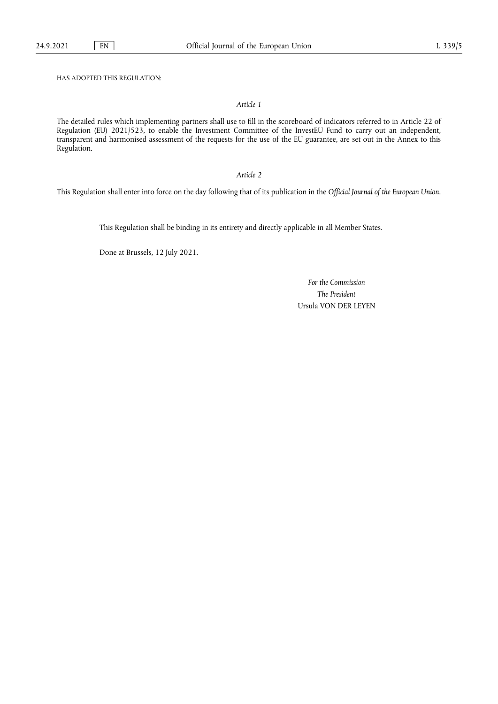HAS ADOPTED THIS REGULATION:

### *Article 1*

The detailed rules which implementing partners shall use to fill in the scoreboard of indicators referred to in Article 22 of Regulation (EU) 2021/523, to enable the Investment Committee of the InvestEU Fund to carry out an independent, transparent and harmonised assessment of the requests for the use of the EU guarantee, are set out in the Annex to this Regulation.

### *Article 2*

This Regulation shall enter into force on the day following that of its publication in the *Official Journal of the European Union*.

This Regulation shall be binding in its entirety and directly applicable in all Member States.

Done at Brussels, 12 July 2021.

*For the Commission The President* Ursula VON DER LEYEN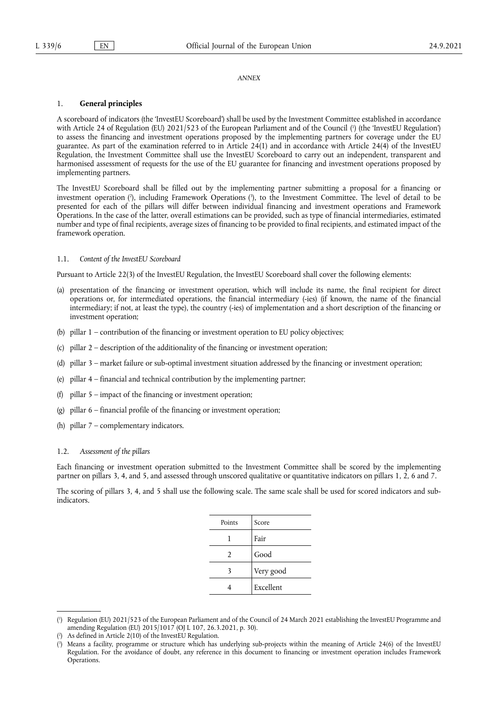#### *ANNEX*

#### 1. **General principles**

<span id="page-2-3"></span>A scoreboard of indicators (the 'InvestEU Scoreboard') shall be used by the Investment Committee established in accordance with Article 24 of Regulation (EU) 2021/523 of the European Parliament and of the Council [\(](#page-2-0) 1 ) (the 'InvestEU Regulation') to assess the financing and investment operations proposed by the implementing partners for coverage under the EU guarantee. As part of the examination referred to in Article  $24(1)$  and in accordance with Article  $24(4)$  of the InvestEU Regulation, the Investment Committee shall use the InvestEU Scoreboard to carry out an independent, transparent and harmonised assessment of requests for the use of the EU guarantee for financing and investment operations proposed by implementing partners.

<span id="page-2-4"></span>The InvestEU Scoreboard shall be filled out by the implementing partner submitting a proposal for a financing or investment operation [\(](#page-2-1) 2 ), including Framework Operations [\(](#page-2-2) 3 ), to the Investment Committee. The level of detail to be presented for each of the pillars will differ between individual financing and investment operations and Framework Operations. In the case of the latter, overall estimations can be provided, such as type of financial intermediaries, estimated number and type of final recipients, average sizes of financing to be provided to final recipients, and estimated impact of the framework operation.

#### 1.1. *Content of the InvestEU Scoreboard*

Pursuant to Article 22(3) of the InvestEU Regulation, the InvestEU Scoreboard shall cover the following elements:

- (a) presentation of the financing or investment operation, which will include its name, the final recipient for direct operations or, for intermediated operations, the financial intermediary (-ies) (if known, the name of the financial intermediary; if not, at least the type), the country (-ies) of implementation and a short description of the financing or investment operation;
- (b) pillar 1 contribution of the financing or investment operation to EU policy objectives;
- (c) pillar 2 description of the additionality of the financing or investment operation;
- (d) pillar 3 market failure or sub-optimal investment situation addressed by the financing or investment operation;
- (e) pillar 4 financial and technical contribution by the implementing partner;
- (f) pillar 5 impact of the financing or investment operation;
- (g) pillar 6 financial profile of the financing or investment operation;
- (h) pillar 7 complementary indicators.

### 1.2. *Assessment of the pillars*

Each financing or investment operation submitted to the Investment Committee shall be scored by the implementing partner on pillars 3, 4, and 5, and assessed through unscored qualitative or quantitative indicators on pillars 1, 2, 6 and 7.

The scoring of pillars 3, 4, and 5 shall use the following scale. The same scale shall be used for scored indicators and subindicators.

| Points         | Score     |
|----------------|-----------|
|                | Fair      |
| $\mathfrak{D}$ | Good      |
| 3              | Very good |
|                | Excellent |

<span id="page-2-0"></span>[<sup>\(</sup>](#page-2-3) 1 ) Regulation (EU) 2021/523 of the European Parliament and of the Council of 24 March 2021 establishing the InvestEU Programme and amending Regulation (EU) 2015/1017 (OJ L 107, 26.3.2021, p. 30).

<span id="page-2-1"></span>[<sup>\(</sup>](#page-2-4) 2 ) As defined in Article 2(10) of the InvestEU Regulation.

<span id="page-2-2"></span>[<sup>\(</sup>](#page-2-4) 3 ) Means a facility, programme or structure which has underlying sub-projects within the meaning of Article 24(6) of the InvestEU Regulation. For the avoidance of doubt, any reference in this document to financing or investment operation includes Framework Operations.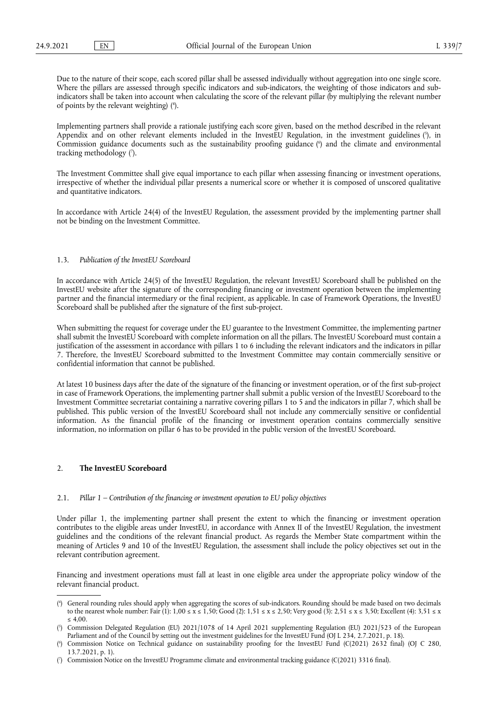Due to the nature of their scope, each scored pillar shall be assessed individually without aggregation into one single score. Where the pillars are assessed through specific indicators and sub-indicators, the weighting of those indicators and subindicators shall be taken into account when calculating the score of the relevant pillar (by multiplying the relevant number of points by the relevant weighting) ( 4 [\).](#page-3-0)

<span id="page-3-6"></span><span id="page-3-5"></span><span id="page-3-4"></span>Implementing partners shall provide a rationale justifying each score given, based on the method described in the relevant Appendix and on other relevant elements included in the InvestEU Regulation, in the investment guidelines [\(](#page-3-1)5), in Commission guidance documents such as the sustainability proofing guidance [\(](#page-3-2) 6 ) and the climate and environmental tracking methodology [\(](#page-3-3) 7 ).

<span id="page-3-7"></span>The Investment Committee shall give equal importance to each pillar when assessing financing or investment operations, irrespective of whether the individual pillar presents a numerical score or whether it is composed of unscored qualitative and quantitative indicators.

In accordance with Article 24(4) of the InvestEU Regulation, the assessment provided by the implementing partner shall not be binding on the Investment Committee.

#### 1.3. *Publication of the InvestEU Scoreboard*

In accordance with Article 24(5) of the InvestEU Regulation, the relevant InvestEU Scoreboard shall be published on the InvestEU website after the signature of the corresponding financing or investment operation between the implementing partner and the financial intermediary or the final recipient, as applicable. In case of Framework Operations, the InvestEU Scoreboard shall be published after the signature of the first sub-project.

When submitting the request for coverage under the EU guarantee to the Investment Committee, the implementing partner shall submit the InvestEU Scoreboard with complete information on all the pillars. The InvestEU Scoreboard must contain a justification of the assessment in accordance with pillars 1 to 6 including the relevant indicators and the indicators in pillar 7. Therefore, the InvestEU Scoreboard submitted to the Investment Committee may contain commercially sensitive or confidential information that cannot be published.

At latest 10 business days after the date of the signature of the financing or investment operation, or of the first sub-project in case of Framework Operations, the implementing partner shall submit a public version of the InvestEU Scoreboard to the Investment Committee secretariat containing a narrative covering pillars 1 to 5 and the indicators in pillar 7, which shall be published. This public version of the InvestEU Scoreboard shall not include any commercially sensitive or confidential information. As the financial profile of the financing or investment operation contains commercially sensitive information, no information on pillar 6 has to be provided in the public version of the InvestEU Scoreboard.

#### 2. **The InvestEU Scoreboard**

#### 2.1. *Pillar 1 – Contribution of the financing or investment operation to EU policy objectives*

Under pillar 1, the implementing partner shall present the extent to which the financing or investment operation contributes to the eligible areas under InvestEU, in accordance with Annex II of the InvestEU Regulation, the investment guidelines and the conditions of the relevant financial product. As regards the Member State compartment within the meaning of Articles 9 and 10 of the InvestEU Regulation, the assessment shall include the policy objectives set out in the relevant contribution agreement.

Financing and investment operations must fall at least in one eligible area under the appropriate policy window of the relevant financial product.

<span id="page-3-0"></span>[<sup>\(</sup>](#page-3-4) 4 ) General rounding rules should apply when aggregating the scores of sub-indicators. Rounding should be made based on two decimals to the nearest whole number: Fair (1):  $1,00 \le x \le 1,50$ ; Good (2):  $1,51 \le x \le 2,50$ ; Very good (3):  $2,51 \le x \le 3,50$ ; Excellent (4):  $3,51 \le x$  $< 4.00$ 

<span id="page-3-1"></span>[<sup>\(</sup>](#page-3-5) 5 ) Commission Delegated Regulation (EU) 2021/1078 of 14 April 2021 supplementing Regulation (EU) 2021/523 of the European Parliament and of the Council by setting out the investment guidelines for the InvestEU Fund (OJ L 234, 2.7.2021, p. 18).

<span id="page-3-2"></span>[<sup>\(</sup>](#page-3-6) 6 ) Commission Notice on Technical guidance on sustainability proofing for the InvestEU Fund (C(2021) 2632 final) (OJ C 280, 13.7.2021, p. 1).

<span id="page-3-3"></span><sup>(</sup> 7 [\)](#page-3-7) Commission Notice on the InvestEU Programme climate and environmental tracking guidance (C(2021) 3316 final).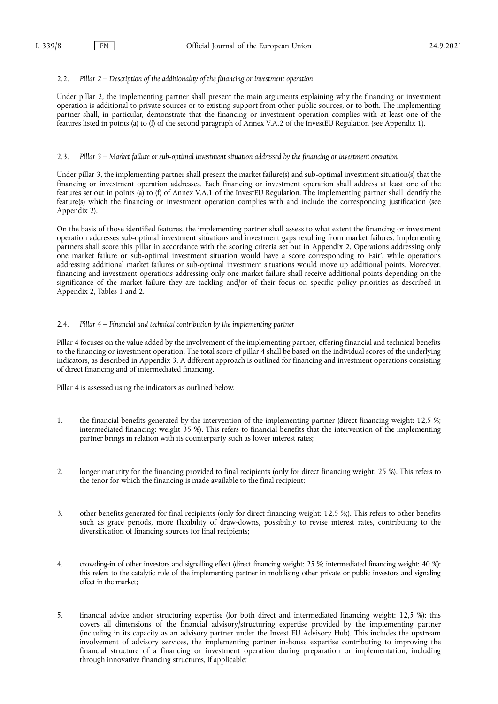#### 2.2. *Pillar 2 – Description of the additionality of the financing or investment operation*

Under pillar 2, the implementing partner shall present the main arguments explaining why the financing or investment operation is additional to private sources or to existing support from other public sources, or to both. The implementing partner shall, in particular, demonstrate that the financing or investment operation complies with at least one of the features listed in points (a) to (f) of the second paragraph of Annex V.A.2 of the InvestEU Regulation (see Appendix 1).

#### 2.3. *Pillar 3 – Market failure or sub-optimal investment situation addressed by the financing or investment operation*

Under pillar 3, the implementing partner shall present the market failure(s) and sub-optimal investment situation(s) that the financing or investment operation addresses. Each financing or investment operation shall address at least one of the features set out in points (a) to (f) of Annex V.A.1 of the InvestEU Regulation. The implementing partner shall identify the feature(s) which the financing or investment operation complies with and include the corresponding justification (see Appendix 2).

On the basis of those identified features, the implementing partner shall assess to what extent the financing or investment operation addresses sub-optimal investment situations and investment gaps resulting from market failures. Implementing partners shall score this pillar in accordance with the scoring criteria set out in Appendix 2. Operations addressing only one market failure or sub-optimal investment situation would have a score corresponding to 'Fair', while operations addressing additional market failures or sub-optimal investment situations would move up additional points. Moreover, financing and investment operations addressing only one market failure shall receive additional points depending on the significance of the market failure they are tackling and/or of their focus on specific policy priorities as described in Appendix 2, Tables 1 and 2.

### 2.4. *Pillar 4 – Financial and technical contribution by the implementing partner*

Pillar 4 focuses on the value added by the involvement of the implementing partner, offering financial and technical benefits to the financing or investment operation. The total score of pillar 4 shall be based on the individual scores of the underlying indicators, as described in Appendix 3. A different approach is outlined for financing and investment operations consisting of direct financing and of intermediated financing.

Pillar 4 is assessed using the indicators as outlined below.

- 1. the financial benefits generated by the intervention of the implementing partner (direct financing weight: 12,5 %; intermediated financing: weight 35 %). This refers to financial benefits that the intervention of the implementing partner brings in relation with its counterparty such as lower interest rates;
- 2. longer maturity for the financing provided to final recipients (only for direct financing weight: 25 %). This refers to the tenor for which the financing is made available to the final recipient;
- 3. other benefits generated for final recipients (only for direct financing weight: 12,5 %;). This refers to other benefits such as grace periods, more flexibility of draw-downs, possibility to revise interest rates, contributing to the diversification of financing sources for final recipients;
- 4. crowding-in of other investors and signalling effect (direct financing weight: 25 %; intermediated financing weight: 40 %): this refers to the catalytic role of the implementing partner in mobilising other private or public investors and signaling effect in the market;
- 5. financial advice and/or structuring expertise (for both direct and intermediated financing weight: 12,5 %): this covers all dimensions of the financial advisory/structuring expertise provided by the implementing partner (including in its capacity as an advisory partner under the Invest EU Advisory Hub). This includes the upstream involvement of advisory services, the implementing partner in-house expertise contributing to improving the financial structure of a financing or investment operation during preparation or implementation, including through innovative financing structures, if applicable;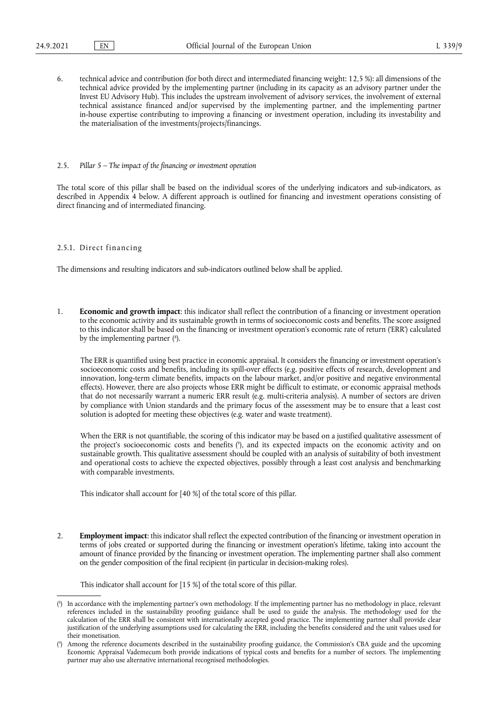6. technical advice and contribution (for both direct and intermediated financing weight: 12,5 %): all dimensions of the technical advice provided by the implementing partner (including in its capacity as an advisory partner under the Invest EU Advisory Hub). This includes the upstream involvement of advisory services, the involvement of external technical assistance financed and/or supervised by the implementing partner, and the implementing partner in-house expertise contributing to improving a financing or investment operation, including its investability and the materialisation of the investments/projects/financings.

#### 2.5. *Pillar 5 – The impact of the financing or investment operation*

The total score of this pillar shall be based on the individual scores of the underlying indicators and sub-indicators, as described in Appendix 4 below. A different approach is outlined for financing and investment operations consisting of direct financing and of intermediated financing.

#### 2.5.1. Direct financing

The dimensions and resulting indicators and sub-indicators outlined below shall be applied.

<span id="page-5-2"></span>1. **Economic and growth impact**: this indicator shall reflect the contribution of a financing or investment operation to the economic activity and its sustainable growth in terms of socioeconomic costs and benefits. The score assigned to this indicator shall be based on the financing or investment operation's economic rate of return ('ERR') calculated by the implementing partner (<sup>8</sup>[\).](#page-5-0)

The ERR is quantified using best practice in economic appraisal. It considers the financing or investment operation's socioeconomic costs and benefits, including its spill-over effects (e.g. positive effects of research, development and innovation, long-term climate benefits, impacts on the labour market, and/or positive and negative environmental effects). However, there are also projects whose ERR might be difficult to estimate, or economic appraisal methods that do not necessarily warrant a numeric ERR result (e.g. multi-criteria analysis). A number of sectors are driven by compliance with Union standards and the primary focus of the assessment may be to ensure that a least cost solution is adopted for meeting these objectives (e.g. water and waste treatment).

<span id="page-5-3"></span>When the ERR is not quantifiable, the scoring of this indicator may be based on a justified qualitative assessment of the project's socioeconomic costs and benefits [\(](#page-5-1) 9 ), and its expected impacts on the economic activity and on sustainable growth. This qualitative assessment should be coupled with an analysis of suitability of both investment and operational costs to achieve the expected objectives, possibly through a least cost analysis and benchmarking with comparable investments.

This indicator shall account for [40 %] of the total score of this pillar.

2. **Employment impact**: this indicator shall reflect the expected contribution of the financing or investment operation in terms of jobs created or supported during the financing or investment operation's lifetime, taking into account the amount of finance provided by the financing or investment operation. The implementing partner shall also comment on the gender composition of the final recipient (in particular in decision-making roles).

This indicator shall account for [15 %] of the total score of this pillar.

<span id="page-5-0"></span>[<sup>\(</sup>](#page-5-2) 8 ) In accordance with the implementing partner's own methodology. If the implementing partner has no methodology in place, relevant references included in the sustainability proofing guidance shall be used to guide the analysis. The methodology used for the calculation of the ERR shall be consistent with internationally accepted good practice. The implementing partner shall provide clear justification of the underlying assumptions used for calculating the ERR, including the benefits considered and the unit values used for their monetisation.

<span id="page-5-1"></span>[<sup>\(</sup>](#page-5-3) 9 ) Among the reference documents described in the sustainability proofing guidance, the Commission's CBA guide and the upcoming Economic Appraisal Vademecum both provide indications of typical costs and benefits for a number of sectors. The implementing partner may also use alternative international recognised methodologies.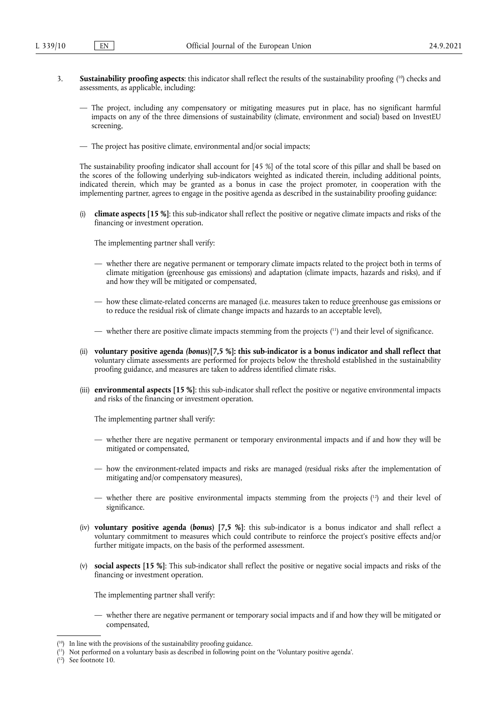- <span id="page-6-3"></span>3. **Sustainability proofing aspects**: this indicator shall reflect the results of the sustainability proofing ( [10\)](#page-6-0) checks and assessments, as applicable, including:
	- The project, including any compensatory or mitigating measures put in place, has no significant harmful impacts on any of the three dimensions of sustainability (climate, environment and social) based on InvestEU screening,
	- The project has positive climate, environmental and/or social impacts;

The sustainability proofing indicator shall account for [45 %] of the total score of this pillar and shall be based on the scores of the following underlying sub-indicators weighted as indicated therein, including additional points, indicated therein, which may be granted as a bonus in case the project promoter, in cooperation with the implementing partner, agrees to engage in the positive agenda as described in the sustainability proofing guidance:

(i) **climate aspects [15 %]**: this sub-indicator shall reflect the positive or negative climate impacts and risks of the financing or investment operation.

The implementing partner shall verify:

- whether there are negative permanent or temporary climate impacts related to the project both in terms of climate mitigation (greenhouse gas emissions) and adaptation (climate impacts, hazards and risks), and if and how they will be mitigated or compensated,
- how these climate-related concerns are managed (i.e. measures taken to reduce greenhouse gas emissions or to reduce the residual risk of climate change impacts and hazards to an acceptable level),
- <span id="page-6-4"></span>— whether there are positive climate impacts stemming from the projects ( [11\)](#page-6-1) and their level of significance.
- (ii) **voluntary positive agenda** *(bonus***)[7,5 %]: this sub-indicator is a bonus indicator and shall reflect that**  voluntary climate assessments are performed for projects below the threshold established in the sustainability proofing guidance, and measures are taken to address identified climate risks.
- (iii) **environmental aspects [15 %]**: this sub-indicator shall reflect the positive or negative environmental impacts and risks of the financing or investment operation.

The implementing partner shall verify:

- whether there are negative permanent or temporary environmental impacts and if and how they will be mitigated or compensated,
- how the environment-related impacts and risks are managed (residual risks after the implementation of mitigating and/or compensatory measures),
- <span id="page-6-5"></span>— whether there are positive environmental impacts stemming from the projects ( [12\)](#page-6-2) and their level of significance.
- (iv) **voluntary positive agenda (***bonus***) [7,5 %]**: this sub-indicator is a bonus indicator and shall reflect a voluntary commitment to measures which could contribute to reinforce the project's positive effects and/or further mitigate impacts, on the basis of the performed assessment.
- (v) **social aspects [15 %]**: This sub-indicator shall reflect the positive or negative social impacts and risks of the financing or investment operation.

The implementing partner shall verify:

— whether there are negative permanent or temporary social impacts and if and how they will be mitigated or compensated,

<span id="page-6-2"></span>( [12\)](#page-6-5) See footnote 10.

<span id="page-6-0"></span><sup>(</sup> [10\)](#page-6-3) In line with the provisions of the sustainability proofing guidance.

<span id="page-6-1"></span><sup>(</sup> [11\)](#page-6-4) Not performed on a voluntary basis as described in following point on the 'Voluntary positive agenda'.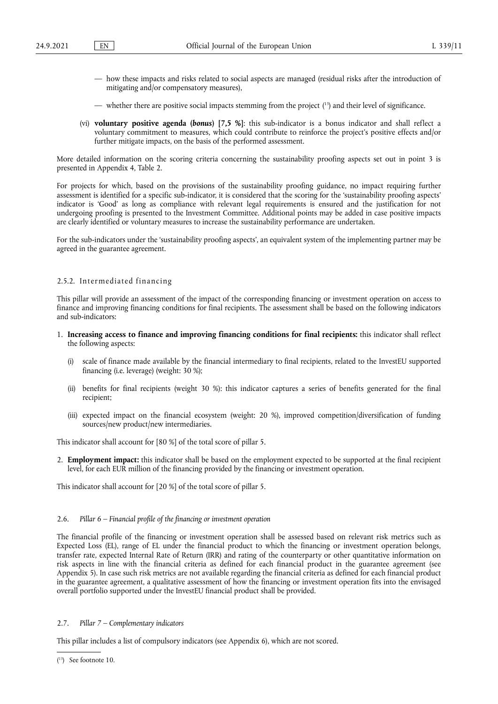- how these impacts and risks related to social aspects are managed (residual risks after the introduction of mitigating and/or compensatory measures),
- <span id="page-7-1"></span>— whether there are positive social impacts stemming from the project ( [13\)](#page-7-0) and their level of significance.
- (vi) **voluntary positive agenda (***bonus***) [7,5 %]**: this sub-indicator is a bonus indicator and shall reflect a voluntary commitment to measures, which could contribute to reinforce the project's positive effects and/or further mitigate impacts, on the basis of the performed assessment.

More detailed information on the scoring criteria concerning the sustainability proofing aspects set out in point 3 is presented in Appendix 4, Table 2.

For projects for which, based on the provisions of the sustainability proofing guidance, no impact requiring further assessment is identified for a specific sub-indicator, it is considered that the scoring for the 'sustainability proofing aspects' indicator is 'Good' as long as compliance with relevant legal requirements is ensured and the justification for not undergoing proofing is presented to the Investment Committee. Additional points may be added in case positive impacts are clearly identified or voluntary measures to increase the sustainability performance are undertaken.

For the sub-indicators under the 'sustainability proofing aspects', an equivalent system of the implementing partner may be agreed in the guarantee agreement.

### 2.5.2. Intermediated financing

This pillar will provide an assessment of the impact of the corresponding financing or investment operation on access to finance and improving financing conditions for final recipients. The assessment shall be based on the following indicators and sub-indicators:

- 1. **Increasing access to finance and improving financing conditions for final recipients:** this indicator shall reflect the following aspects:
	- (i) scale of finance made available by the financial intermediary to final recipients, related to the InvestEU supported financing (i.e. leverage) (weight: 30 %);
	- (ii) benefits for final recipients (weight 30 %): this indicator captures a series of benefits generated for the final recipient;
	- (iii) expected impact on the financial ecosystem (weight: 20 %), improved competition/diversification of funding sources/new product/new intermediaries.

This indicator shall account for [80 %] of the total score of pillar 5.

2. **Employment impact:** this indicator shall be based on the employment expected to be supported at the final recipient level, for each EUR million of the financing provided by the financing or investment operation.

This indicator shall account for [20 %] of the total score of pillar 5.

### 2.6. *Pillar 6 – Financial profile of the financing or investment operation*

The financial profile of the financing or investment operation shall be assessed based on relevant risk metrics such as Expected Loss (EL), range of EL under the financial product to which the financing or investment operation belongs, transfer rate, expected Internal Rate of Return (IRR) and rating of the counterparty or other quantitative information on risk aspects in line with the financial criteria as defined for each financial product in the guarantee agreement (see Appendix 5). In case such risk metrics are not available regarding the financial criteria as defined for each financial product in the guarantee agreement, a qualitative assessment of how the financing or investment operation fits into the envisaged overall portfolio supported under the InvestEU financial product shall be provided.

#### 2.7. *Pillar 7 – Complementary indicators*

This pillar includes a list of compulsory indicators (see Appendix 6), which are not scored.

<span id="page-7-0"></span><sup>(</sup> [13\)](#page-7-1) See footnote 10.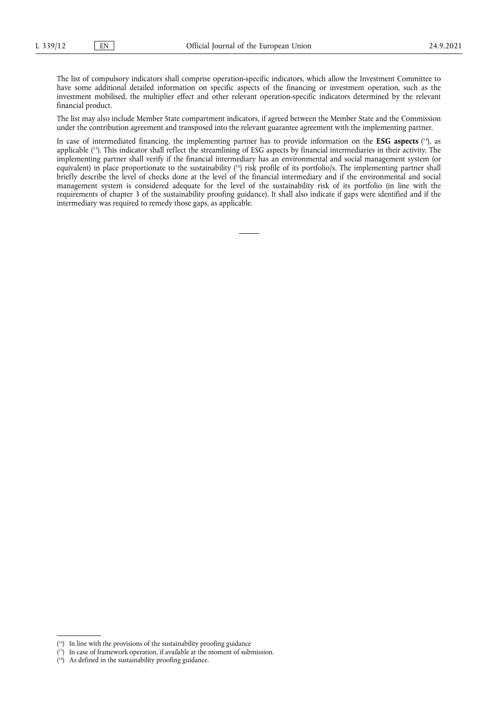The list of compulsory indicators shall comprise operation-specific indicators, which allow the Investment Committee to have some additional detailed information on specific aspects of the financing or investment operation, such as the investment mobilised, the multiplier effect and other relevant operation-specific indicators determined by the relevant financial product.

The list may also include Member State compartment indicators, if agreed between the Member State and the Commission under the contribution agreement and transposed into the relevant guarantee agreement with the implementing partner.

<span id="page-8-5"></span><span id="page-8-4"></span><span id="page-8-3"></span>In case of intermediated financing, the implementing partner has to provide information on the **ESG aspects** (<sup>14</sup>), as applicable ( [15\)](#page-8-1). This indicator shall reflect the streamlining of ESG aspects by financial intermediaries in their activity. The implementing partner shall verify if the financial intermediary has an environmental and social management system (or equivalent) in place proportionate to the sustainability (<sup>16</sup>) risk profile of its portfolio/s. The implementing partner shall briefly describe the level of checks done at the level of the financial intermediary and if the environmental and social management system is considered adequate for the level of the sustainability risk of its portfolio (in line with the requirements of chapter 3 of the sustainability proofing guidance). It shall also indicate if gaps were identified and if the intermediary was required to remedy those gaps, as applicable.

<span id="page-8-0"></span><sup>(</sup> [14\)](#page-8-3) In line with the provisions of the sustainability proofing guidance

<span id="page-8-1"></span><sup>(</sup> [15\)](#page-8-4) In case of framework operation, if available at the moment of submission.

<span id="page-8-2"></span><sup>(</sup> [16\)](#page-8-5) As defined in the sustainability proofing guidance.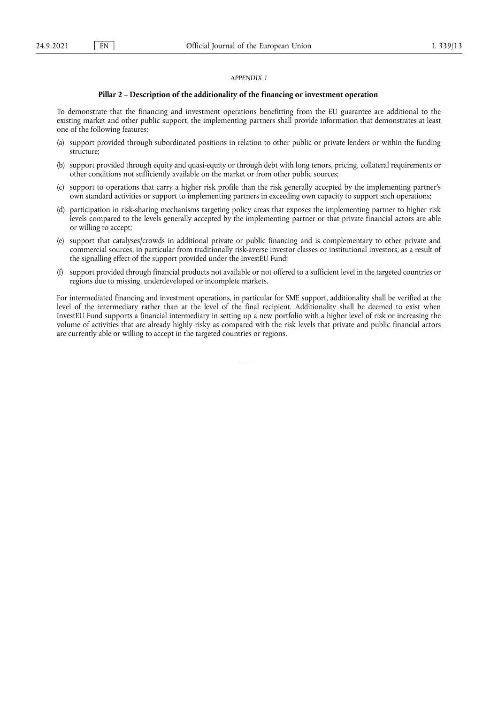#### **Pillar 2 – Description of the additionality of the financing or investment operation**

To demonstrate that the financing and investment operations benefitting from the EU guarantee are additional to the existing market and other public support, the implementing partners shall provide information that demonstrates at least one of the following features:

- (a) support provided through subordinated positions in relation to other public or private lenders or within the funding structure;
- (b) support provided through equity and quasi-equity or through debt with long tenors, pricing, collateral requirements or other conditions not sufficiently available on the market or from other public sources;
- (c) support to operations that carry a higher risk profile than the risk generally accepted by the implementing partner's own standard activities or support to implementing partners in exceeding own capacity to support such operations;
- (d) participation in risk-sharing mechanisms targeting policy areas that exposes the implementing partner to higher risk levels compared to the levels generally accepted by the implementing partner or that private financial actors are able or willing to accept;
- (e) support that catalyses/crowds in additional private or public financing and is complementary to other private and commercial sources, in particular from traditionally risk-averse investor classes or institutional investors, as a result of the signalling effect of the support provided under the InvestEU Fund;
- (f) support provided through financial products not available or not offered to a sufficient level in the targeted countries or regions due to missing, underdeveloped or incomplete markets.

For intermediated financing and investment operations, in particular for SME support, additionality shall be verified at the level of the intermediary rather than at the level of the final recipient. Additionality shall be deemed to exist when InvestEU Fund supports a financial intermediary in setting up a new portfolio with a higher level of risk or increasing the volume of activities that are already highly risky as compared with the risk levels that private and public financial actors are currently able or willing to accept in the targeted countries or regions.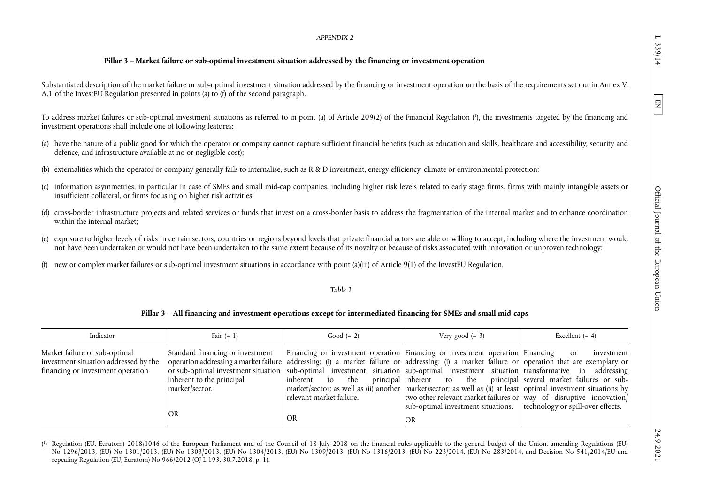## **Pillar 3 – Market failure or sub-optimal investment situation addressed by the financing or investment operation**

Substantiated description of the market failure or sub-optimal investment situation addressed by the financing or investment operation on the basis of the requirements set out in Annex V. A.1 of the InvestEU Regulation presented in points (a) to (f) of the second paragraph.

To address market failures or sub-optimal investment situations as referred to in point (a) of Article 209(2) of the Financial Regulation [\(1\),](#page-10-0) the investments targeted by the financing and investment operations shall include one of following features:

- (a) have the nature of a public good for which the operator or company cannot capture sufficient financial benefits (such as education and skills, healthcare and accessibility, security and defence, and infrastructure available at no or negligible cost);
- externalities which the operator or company generally fails to internalise, such as R & D investment, energy efficiency, climate or environmental protection;
- (c) information asymmetries, in particular in case of SMEs and small mid-cap companies, including higher risk levels related to early stage firms, firms with mainly intangible assets or insufficient collateral, or firms focusing on higher risk activities;
- (d) cross-border infrastructure projects and related services or funds that invest on a cross-border basis to address the fragmentation of the internal market and to enhance coordination within the internal market;
- (e) exposure to higher levels of risks in certain sectors, countries or regions beyond levels that private financial actors are able or willing to accept, including where the investment would not have been undertaken or would not have been undertaken to the same extent because of its novelty or because of risks associated with innovation or unproven technology;
- (f) new or complex market failures or sub-optimal investment situations in accordance with point (a)(iii) of Article 9(1) of the InvestEU Regulation.

### <span id="page-10-1"></span><span id="page-10-0"></span>*Table 1*

### **Pillar 3 – All financing and investment operations except for intermediated financing for SMEs and small mid-caps**

| Indicator                                                                                                                                                                                                                                                 | Fair $(= 1)$                                                                          | Good $(= 2)$                                                   | Very good $(= 3)$                                                                                                                                                                                                                                                                                                                                                                                                                                                                                                                                                          | Excellent $(= 4)$           |
|-----------------------------------------------------------------------------------------------------------------------------------------------------------------------------------------------------------------------------------------------------------|---------------------------------------------------------------------------------------|----------------------------------------------------------------|----------------------------------------------------------------------------------------------------------------------------------------------------------------------------------------------------------------------------------------------------------------------------------------------------------------------------------------------------------------------------------------------------------------------------------------------------------------------------------------------------------------------------------------------------------------------------|-----------------------------|
| Market failure or sub-optimal<br>investment situation addressed by the operation addressing a market failure addressing: (i) a market failure or addressing: (i) a market failure or operation that are exemplary or<br>financing or investment operation | Standard financing or investment<br>inherent to the principal<br>market/sector.<br>OR | linherent to<br>the<br>l relevant market failure.<br><b>OR</b> | Financing or investment operation Financing or investment operation Financing<br>or sub-optimal investment situation sub-optimal investment situation sub-optimal investment situation transformative in addressing<br>principal inherent to the principal several market failures or sub-<br>market/sector; as well as (ii) another market/sector; as well as (ii) at least optimal investment situations by<br>two other relevant market failures or way of disruptive innovation<br>sub-optimal investment situations.   technology or spill-over effects.<br><b>OR</b> | investment<br><sub>or</sub> |

[<sup>\(1\)</sup>](#page-10-1) Regulation (EU, Euratom) 2018/1046 of the European Parliament and of the Council of 18 July 2018 on the financial rules applicable to the general budget of the Union, amending Regulations (EU) No 1296/2013, (EU) No 1301/2013, (EU) No 1303/2013, (EU) No 1304/2013, (EU) No 1309/2013, (EU) No 1316/2013, (EU) No 223/2014, (EU) No 283/2014, and Decision No 541/2014/EU and repealing Regulation (EU, Euratom) No 966/2012 (OJ L 193, 30.7.2018, p. 1).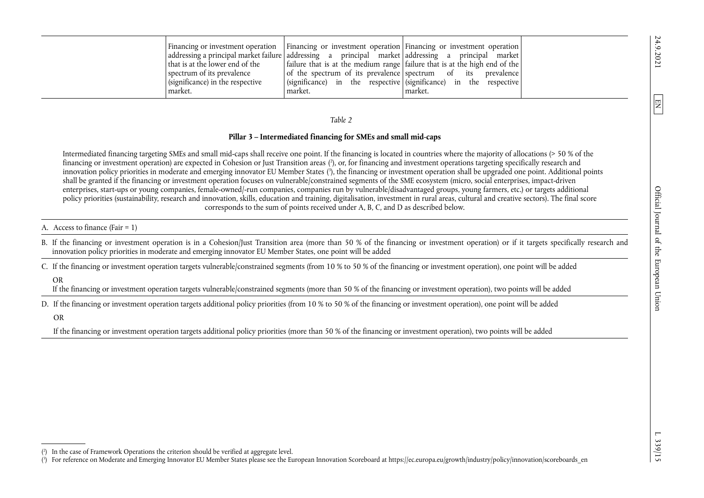|                                  | Financing or investment operation Financing or investment operation Financing or investment operation |            |
|----------------------------------|-------------------------------------------------------------------------------------------------------|------------|
|                                  | addressing a principal market failure   addressing a principal market   addressing a principal market |            |
| that is at the lower end of the  | failure that is at the medium range failure that is at the high end of the                            |            |
| spectrum of its prevalence       | of the spectrum of its prevalence spectrum of its                                                     | prevalence |
| (significance) in the respective | $\vert$ (significance) in the respective (significance) in the respective                             |            |
| market.                          | market.                                                                                               | market.    |

### *Table 2*

### **Pillar 3 – Intermediated financing for SMEs and small mid-caps**

Intermediated financing targeting SMEs and small mid-caps shall receive one point. If the financing is located in countries where the majority of allocations (> 50 % of the financing or investment operation) are expected in Cohesion or Just Transition areas [\(2\)](#page-11-0), or, for financing and investment operations targeting specifically research and innovation policy priorities in moderate and emerging innovator EU Member States (<sup>3</sup>), the financing or investment operation shall be upgraded one point. Additional points shall be granted if the financing or investment operation focuses on vulnerable/constrained segments of the SME ecosystem (micro, social enterprises, impact-driven enterprises, start-ups or young companies, female-owned/-run companies, companies run by vulnerable/disadvantaged groups, young farmers, etc.) or targets additional policy priorities (sustainability, research and innovation, skills, education and training, digitalisation, investment in rural areas, cultural and creative sectors). The final score corresponds to the sum of points received under A, B, C, and D as described below.

#### A. Access to finance (Fair = 1)

B. If the financing or investment operation is in a Cohesion/Just Transition area (more than 50 % of the financing or investment operation) or if it targets specifically research and innovation policy priorities in moderate and emerging innovator EU Member States, one point will be added

C. If the financing or investment operation targets vulnerable/constrained segments (from 10 % to 50 % of the financing or investment operation), one point will be added

### OR

If the financing or investment operation targets vulnerable/constrained segments (more than 50 % of the financing or investment operation), two points will be added

D. If the financing or investment operation targets additional policy priorities (from 10 % to 50 % of the financing or investment operation), one point will be added

#### OR

If the financing or investment operation targets additional policy priorities (more than 50 % of the financing or investment operation), two points will be added

<span id="page-11-3"></span><span id="page-11-2"></span><span id="page-11-1"></span><span id="page-11-0"></span> $\boxed{\Xi}$ 

[<sup>\(2\)</sup>](#page-11-2) In the case of Framework Operations the criterion should be verified at aggregate level.

[<sup>\(3\)</sup>](#page-11-3) For reference on Moderate and Emerging Innovator EU Member States please see the European Innovation Scoreboard at [https://ec.europa.eu/growth/industry/policy/innovation/scoreboards\\_en](https://ec.europa.eu/growth/industry/policy/innovation/scoreboards_en)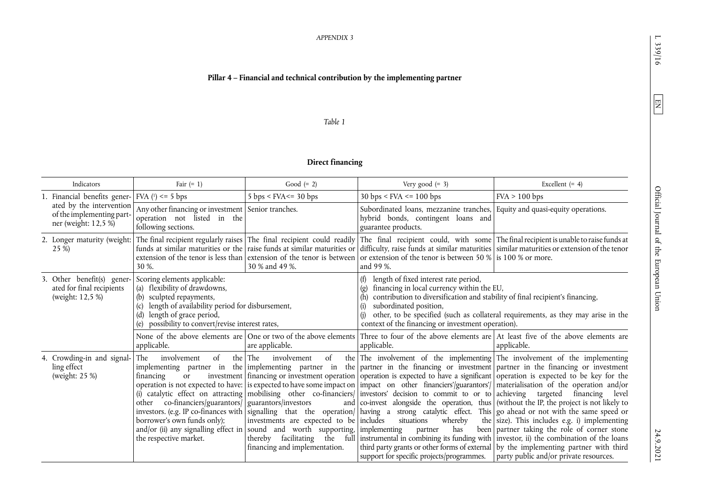## **Pillar 4 – Financial and technical contribution by the implementing partner**

#### *Table 1*

## <span id="page-12-0"></span>**Direct financing**

| Indicators                                                                    | Fair $(= 1)$                                                                                                                                                                                                                    | Good $(= 2)$                                                                                                                                                                              | Very good $(= 3)$                                                                                                                                                                                                                                                                                                                                                                                                                                                                                                                                                                                                                                                                                                                                                                                                                                                                                                                                                                                                                                                                                                                                                                | Excellent $(= 4)$                                                                                                                                                                                          |
|-------------------------------------------------------------------------------|---------------------------------------------------------------------------------------------------------------------------------------------------------------------------------------------------------------------------------|-------------------------------------------------------------------------------------------------------------------------------------------------------------------------------------------|----------------------------------------------------------------------------------------------------------------------------------------------------------------------------------------------------------------------------------------------------------------------------------------------------------------------------------------------------------------------------------------------------------------------------------------------------------------------------------------------------------------------------------------------------------------------------------------------------------------------------------------------------------------------------------------------------------------------------------------------------------------------------------------------------------------------------------------------------------------------------------------------------------------------------------------------------------------------------------------------------------------------------------------------------------------------------------------------------------------------------------------------------------------------------------|------------------------------------------------------------------------------------------------------------------------------------------------------------------------------------------------------------|
| 1. Financial benefits gener- $\vert$ FVA ( $\vert$ ) <= 5 bps                 |                                                                                                                                                                                                                                 | $5 \text{ bps}$ < FVA <= 30 bps                                                                                                                                                           | $30 \text{ bps}$ < FVA <= 100 bps                                                                                                                                                                                                                                                                                                                                                                                                                                                                                                                                                                                                                                                                                                                                                                                                                                                                                                                                                                                                                                                                                                                                                | FVA > 100 bps                                                                                                                                                                                              |
| ated by the intervention<br>of the implementing part-<br>ner (weight: 12,5 %) | Any other financing or investment Senior tranches.<br>operation not listed in the<br>following sections.                                                                                                                        |                                                                                                                                                                                           | Subordinated loans, mezzanine tranches, Equity and quasi-equity operations.<br>hybrid bonds, contingent loans and<br>guarantee products.                                                                                                                                                                                                                                                                                                                                                                                                                                                                                                                                                                                                                                                                                                                                                                                                                                                                                                                                                                                                                                         |                                                                                                                                                                                                            |
| 2. Longer maturity (weight:<br>25 %)                                          | 30 %.                                                                                                                                                                                                                           | 30 % and 49 %.                                                                                                                                                                            | The final recipient regularly raises The final recipient could readily The final recipient could, with some The final recipient is unable to raise funds at<br>funds at similar maturities or the raise funds at similar maturities or difficulty, raise funds at similar maturities similar maturities or extension of the tenor<br>extension of the tenor is less than extension of the tenor is between or extension of the tenor is between 50 % is 100 % or more.<br>and 99 %.                                                                                                                                                                                                                                                                                                                                                                                                                                                                                                                                                                                                                                                                                              |                                                                                                                                                                                                            |
| 3. Other benefit(s) gener-<br>ated for final recipients<br>(weight: 12,5 %)   | Scoring elements applicable:<br>(a) flexibility of drawdowns,<br>(b) sculpted repayments,<br>length of availability period for disbursement,<br>length of grace period,<br>(d)<br>possibility to convert/revise interest rates, |                                                                                                                                                                                           | length of fixed interest rate period,<br>(f)<br>financing in local currency within the EU,<br>$\left( \rho \right)$<br>contribution to diversification and stability of final recipient's financing,<br>subordinated position,<br>context of the financing or investment operation).                                                                                                                                                                                                                                                                                                                                                                                                                                                                                                                                                                                                                                                                                                                                                                                                                                                                                             | other, to be specified (such as collateral requirements, as they may arise in the                                                                                                                          |
|                                                                               | applicable.                                                                                                                                                                                                                     | are applicable.                                                                                                                                                                           | None of the above elements are One or two of the above elements Three to four of the above elements are At least five of the above elements are<br>applicable.                                                                                                                                                                                                                                                                                                                                                                                                                                                                                                                                                                                                                                                                                                                                                                                                                                                                                                                                                                                                                   | applicable.                                                                                                                                                                                                |
| 4. Crowding-in and signal-<br>ling effect<br>(weight: 25 %)                   | of<br>involvement<br>The<br>financing<br><sub>or</sub><br>other co-financiers/guarantors/   guarantors/investors<br>borrower's own funds only);<br>the respective market.                                                       | the The<br>involvement<br>of<br>investments are expected to be includes<br>and/or (ii) any signalling effect in sound and worth supporting, implementing<br>financing and implementation. | the The involvement of the implementing The involvement of the implementing<br>implementing partner in the implementing partner in the partner in the financing or investment partner in the financing or investment<br>investment financing or investment operation operation is expected to have a significant operation is expected to be key for the<br>operation is not expected to have: is expected to have some impact on   impact on other financiers'/guarantors'/   materialisation of the operation and/or<br>(i) catalytic effect on attracting mobilising other co-financiers/ investors' decision to commit to or to achieving targeted<br>and $\vert$ co-invest alongside the operation, thus $\vert$ (without the IP, the project is not likely to<br>investors. (e.g. IP co-finances with signalling that the operation/ having a strong catalytic effect. This go ahead or not with the same speed or<br>whereby<br>situations<br>has<br>partner<br>thereby facilitating the full instrumental in combining its funding with investor, ii) the combination of the loans<br>support for specific projects/programmes.   party public and/or private resources. | financing level<br>the size). This includes e.g. i) implementing<br>been partner taking the role of corner stone<br>third party grants or other forms of external   by the implementing partner with third |

 $\boxed{\text{EN}}$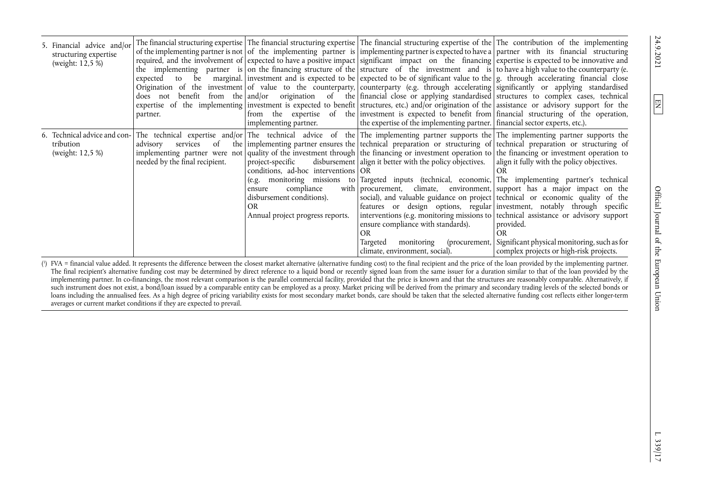| 5. Financial advice and/or<br>structuring expertise<br>(weight: 12,5 %) | partner.                                               | implementing partner.                                                                                                                                         | The financial structuring expertise   The financial structuring expertise   The financial structuring expertise of the   The contribution of the implementing<br>of the implementing partner is not of the implementing partner is implementing partner is expected to have a partner with its financial structuring<br>required, and the involvement of expected to have a positive impact significant impact on the financing expertise is expected to be innovative and<br>the implementing partner is on the financing structure of the structure of the investment and is to have a high value to the counterparty (e.<br>expected to be marginal. investment and is expected to be expected to be of significant value to the $g$ , through accelerating financial close<br>Origination of the investment of value to the counterparty, counterparty (e.g. through accelerating significantly or applying standardised<br>does not benefit from the and/or origination of the financial close or applying standardised structures to complex cases, technical<br>expertise of the implementing investment is expected to benefit structures, etc.) and/or origination of the assistance or advisory support for the<br>from the expertise of the investment is expected to benefit from financial structuring of the operation,<br>the expertise of the implementing partner.   financial sector experts, etc.). |                                                                                                                                                                                                                                                                                                                                                                                                  |
|-------------------------------------------------------------------------|--------------------------------------------------------|---------------------------------------------------------------------------------------------------------------------------------------------------------------|------------------------------------------------------------------------------------------------------------------------------------------------------------------------------------------------------------------------------------------------------------------------------------------------------------------------------------------------------------------------------------------------------------------------------------------------------------------------------------------------------------------------------------------------------------------------------------------------------------------------------------------------------------------------------------------------------------------------------------------------------------------------------------------------------------------------------------------------------------------------------------------------------------------------------------------------------------------------------------------------------------------------------------------------------------------------------------------------------------------------------------------------------------------------------------------------------------------------------------------------------------------------------------------------------------------------------------------------------------------------------------------------------------------------|--------------------------------------------------------------------------------------------------------------------------------------------------------------------------------------------------------------------------------------------------------------------------------------------------------------------------------------------------------------------------------------------------|
| tribution<br>(weight: 12,5 %)                                           | advisory services of<br>needed by the final recipient. | project-specific<br>conditions, ad-hoc interventions OR<br>compliance<br>ensure<br>disbursement conditions).<br><b>OR</b><br>Annual project progress reports. | 6. Technical advice and con- The technical expertise and/or The technical advice of the The implementing partner supports the The implementing partner supports the<br>the implementing partner ensures the technical preparation or structuring of technical preparation or structuring of<br>implementing partner were not quality of the investment through the financing or investment operation to the financing or investment operation to<br>disbursement align it better with the policy objectives. align it fully with the policy objectives.<br>(e.g. monitoring missions to Targeted inputs (technical, economic, The implementing partner's technical<br>with procurement, climate, environment, support has a major impact on the<br>ensure compliance with standards).<br>OR.<br>Targeted<br>climate, environment, social).<br>$\mathcal{L} = \{ \mathbf{A} \mid \mathbf{A} \in \mathcal{A} \}$ . The contract of the contract of the contract of the contract of the contract of the contract of the contract of the contract of the contract of the contract of the contract of the con                                                                                                                                                                                                                                                                                                               | OR<br>social), and valuable guidance on project technical or economic quality of the<br>features or design options, regular investment, notably through specific<br>interventions (e.g. monitoring missions to   technical assistance or advisory support<br>provided.<br>OR<br>monitoring (procurement, Significant physical monitoring, such as for<br>complex projects or high-risk projects. |

[\(](#page-12-0) 1 ) FVA = financial value added. It represents the difference between the closest market alternative (alternative funding cost) to the final recipient and the price of the loan provided by the implementing partner. The final recipient's alternative funding cost may be determined by direct reference to a liquid bond or recently signed loan from the same issuer for a duration similar to that of the loan provided by the implementing partner. In co-financings, the most relevant comparison is the parallel commercial facility, provided that the price is known and that the structures are reasonably comparable. Alternatively, if such instrument does not exist, a bond/loan issued by a comparable entity can be employed as a proxy. Market pricing will be derived from the primary and secondary trading levels of the selected bonds or loans including the annualised fees. As a high degree of pricing variability exists for most secondary market bonds, care should be taken that the selected alternative funding cost reflects either longer-term averages or current market conditions if they are expected to prevail.

24.9.2021

<span id="page-13-0"></span> $\boxed{\text{E}}$ 

 $L$  339/17  $\,$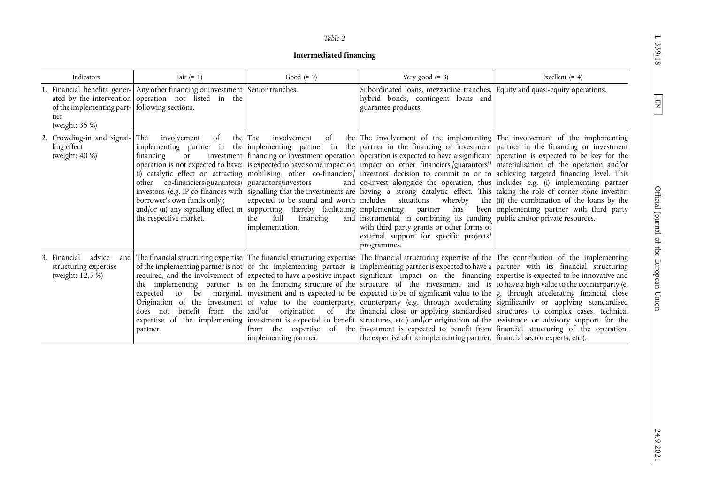L 339/18

 $\boxed{\text{EN}}$ 

### *Table 2*

## **Intermediated financing**

| Indicators<br>of the implementing part- following sections.<br>ner<br>(weight: 35 %) | Fair $(= 1)$<br>1. Financial benefits gener- Any other financing or investment Senior tranches.<br>ated by the intervention operation not listed in the        | Good $(= 2)$                                                                                                                                                                                                                     | Very good $(= 3)$<br>Subordinated loans, mezzanine tranches, Equity and quasi-equity operations.<br>hybrid bonds, contingent loans and<br>guarantee products.                                                  | Excellent $(= 4)$                                                                                                                                                                                                                                                                                                                                                                                                                                                                                                                                                                                                                                                                                                                                                                                                                                                                                                                                                                                                                                                                                                                                                                                                                                                                                                                   |
|--------------------------------------------------------------------------------------|----------------------------------------------------------------------------------------------------------------------------------------------------------------|----------------------------------------------------------------------------------------------------------------------------------------------------------------------------------------------------------------------------------|----------------------------------------------------------------------------------------------------------------------------------------------------------------------------------------------------------------|-------------------------------------------------------------------------------------------------------------------------------------------------------------------------------------------------------------------------------------------------------------------------------------------------------------------------------------------------------------------------------------------------------------------------------------------------------------------------------------------------------------------------------------------------------------------------------------------------------------------------------------------------------------------------------------------------------------------------------------------------------------------------------------------------------------------------------------------------------------------------------------------------------------------------------------------------------------------------------------------------------------------------------------------------------------------------------------------------------------------------------------------------------------------------------------------------------------------------------------------------------------------------------------------------------------------------------------|
| 2. Crowding-in and signal-<br>ling effect<br>(weight: 40 %)                          | The<br>involvement<br>of<br>financing<br>or<br>other co-financiers/guarantors/   guarantors/investors<br>borrower's own funds only);<br>the respective market. | the The<br>involvement<br>of<br>expected to be sound and worth includes situations<br>$\alpha$ and/or (ii) any signalling effect in supporting, thereby facilitating implementing<br>full<br>the<br>financing<br>implementation. | whereby<br>has<br>partner<br>and instrumental in combining its funding public and/or private resources.<br>with third party grants or other forms of<br>external support for specific projects/<br>programmes. | the The involvement of the implementing The involvement of the implementing<br>implementing partner in the implementing partner in the partner in the financing or investment partner in the financing or investment<br>investment financing or investment operation operation is expected to have a significant operation is expected to be key for the<br>operation is not expected to have: is expected to have some impact on impact on other financiers'/guarantors'/ materialisation of the operation and/or<br>(i) catalytic effect on attracting mobilising other co-financiers/ investors' decision to commit to or to achieving targeted financing level. This<br>and co-invest alongside the operation, thus includes e.g. (i) implementing partner<br>investors. (e.g. IP co-finances with signalling that the investments are having a strong catalytic effect. This taking the role of corner stone investor;<br>the $\left  \right $ (ii) the combination of the loans by the<br>been implementing partner with third party                                                                                                                                                                                                                                                                                          |
| 3. Financial<br>advice<br>structuring expertise<br>(weight: 12,5 %)                  | partner.                                                                                                                                                       | implementing partner.                                                                                                                                                                                                            | the expertise of the implementing partner. financial sector experts, etc.).                                                                                                                                    | and The financial structuring expertise The financial structuring expertise The financial structuring expertise of the The contribution of the implementing<br>of the implementing partner is not of the implementing partner is implementing partner is expected to have a partner with its financial structuring<br>required, and the involvement of expected to have a positive impact significant impact on the financing expertise is expected to be innovative and<br>the implementing partner is on the financing structure of the structure of the investment and is to have a high value to the counterparty (e.<br>expected to be marginal. investment and is expected to be expected to be of significant value to the $g$ , through accelerating financial close<br>Origination of the investment of value to the counterparty, counterparty (e.g. through accelerating significantly or applying standardised<br>does not benefit from the and/or origination of the financial close or applying standardised structures to complex cases, technical<br>expertise of the implementing investment is expected to benefit structures, etc.) and/or origination of the assistance or advisory support for the<br>from the expertise of the investment is expected to benefit from financial structuring of the operation, |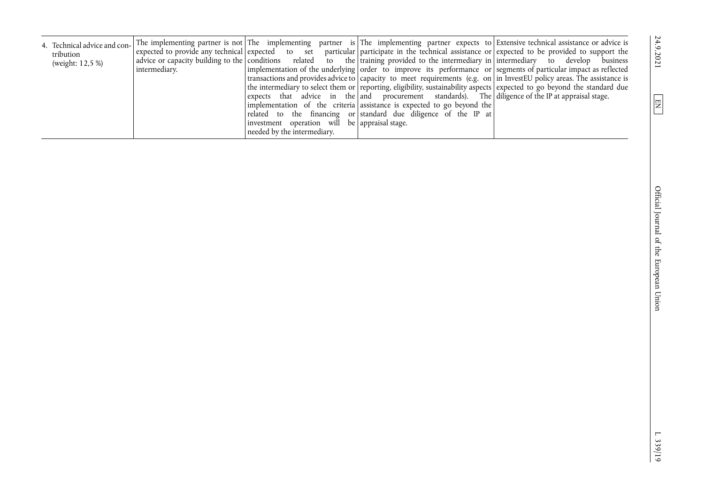| The implementing partner is not The implementing partner is The implementing partner expects to Extensive technical assistance or advice is<br>4. Technical advice and con-<br>expected to provide any technical expected to set particular participate in the technical assistance or expected to be provided to support the<br>tribution<br>advice or capacity building to the conditions related to the training provided to the intermediary in intermediary to develop business<br>(weight: 12,5 %)<br>intermediary. |
|---------------------------------------------------------------------------------------------------------------------------------------------------------------------------------------------------------------------------------------------------------------------------------------------------------------------------------------------------------------------------------------------------------------------------------------------------------------------------------------------------------------------------|
|---------------------------------------------------------------------------------------------------------------------------------------------------------------------------------------------------------------------------------------------------------------------------------------------------------------------------------------------------------------------------------------------------------------------------------------------------------------------------------------------------------------------------|

24.9.2021

 $\boxed{\text{EM}}$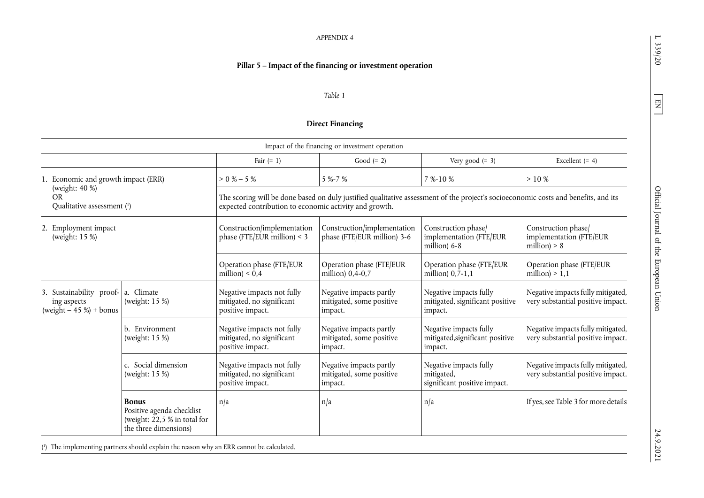## **Pillar 5 – Impact of the financing or investment operation**

#### *Table 1*

## <span id="page-16-1"></span>**Direct Financing**

|                                                                                |                                                                                                    |                                                                             | Impact of the financing or investment operation                |                                                                                                                                    |                                                                        |
|--------------------------------------------------------------------------------|----------------------------------------------------------------------------------------------------|-----------------------------------------------------------------------------|----------------------------------------------------------------|------------------------------------------------------------------------------------------------------------------------------------|------------------------------------------------------------------------|
|                                                                                |                                                                                                    | Fair $(= 1)$                                                                | Good $(= 2)$                                                   | Very good $(= 3)$                                                                                                                  | Excellent $(= 4)$                                                      |
| 1. Economic and growth impact (ERR)                                            |                                                                                                    | $> 0 \% - 5 \%$                                                             | 5 %-7 %                                                        | 7 %-10 %                                                                                                                           | >10%                                                                   |
| (weight: 40 %)<br><b>OR</b><br>Qualitative assessment (1)                      |                                                                                                    | expected contribution to economic activity and growth.                      |                                                                | The scoring will be done based on duly justified qualitative assessment of the project's socioeconomic costs and benefits, and its |                                                                        |
| 2. Employment impact<br>(weight: 15 %)                                         |                                                                                                    | Construction/implementation<br>phase (FTE/EUR million) < $3$                | Construction/implementation<br>phase (FTE/EUR million) 3-6     | Construction phase/<br>implementation (FTE/EUR<br>million) $6-8$                                                                   | Construction phase/<br>implementation (FTE/EUR<br>million) $> 8$       |
|                                                                                |                                                                                                    | Operation phase (FTE/EUR<br>million $) < 0,4$                               | Operation phase (FTE/EUR<br>million) $0, 4-0, 7$               | Operation phase (FTE/EUR<br>million) $0,\overline{7}-1,1$                                                                          | Operation phase (FTE/EUR<br>million) $> 1,1$                           |
| 3. Sustainability proof- a. Climate<br>ing aspects<br>$(weight - 45%) + bonus$ | (weight: 15 %)                                                                                     | Negative impacts not fully<br>mitigated, no significant<br>positive impact. | Negative impacts partly<br>mitigated, some positive<br>impact. | Negative impacts fully<br>mitigated, significant positive<br>impact.                                                               | Negative impacts fully mitigated,<br>very substantial positive impact. |
|                                                                                | b. Environment<br>(weight: 15 %)                                                                   | Negative impacts not fully<br>mitigated, no significant<br>positive impact. | Negative impacts partly<br>mitigated, some positive<br>impact. | Negative impacts fully<br>mitigated, significant positive<br>impact.                                                               | Negative impacts fully mitigated,<br>very substantial positive impact. |
|                                                                                | c. Social dimension<br>(weight: 15 %)                                                              | Negative impacts not fully<br>mitigated, no significant<br>positive impact. | Negative impacts partly<br>mitigated, some positive<br>impact. | Negative impacts fully<br>mitigated,<br>significant positive impact.                                                               | Negative impacts fully mitigated,<br>very substantial positive impact. |
|                                                                                | <b>Bonus</b><br>Positive agenda checklist<br>(weight: 22,5 % in total for<br>the three dimensions) | n/a                                                                         | n/a                                                            | n/a                                                                                                                                | If yes, see Table 3 for more details                                   |

[\(1\)](#page-16-1) The implementing partners should explain the reason why an ERR cannot be calculated.

<span id="page-16-0"></span> $\boxed{\text{EN}}$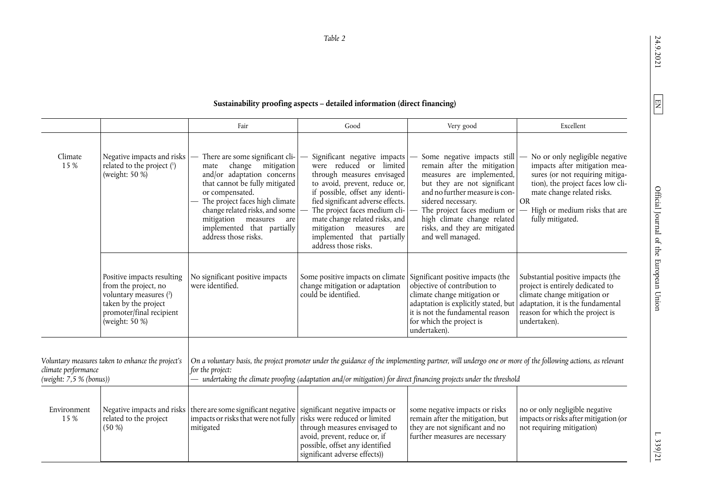<span id="page-17-1"></span><span id="page-17-0"></span>**Sustainability proofing aspects – detailed information (direct financing)** 

|                                                                                                     |                                                                                                                                                                                                                                                                                                                                                                   | Fair                                                                                                                                                                                                                                                                                                                                   | Good                                                                                                                                                                                                                                                                                                                                                  | Very good                                                                                                                                                                                                                                                                                           | Excellent                                                                                                                                                                                                                               |
|-----------------------------------------------------------------------------------------------------|-------------------------------------------------------------------------------------------------------------------------------------------------------------------------------------------------------------------------------------------------------------------------------------------------------------------------------------------------------------------|----------------------------------------------------------------------------------------------------------------------------------------------------------------------------------------------------------------------------------------------------------------------------------------------------------------------------------------|-------------------------------------------------------------------------------------------------------------------------------------------------------------------------------------------------------------------------------------------------------------------------------------------------------------------------------------------------------|-----------------------------------------------------------------------------------------------------------------------------------------------------------------------------------------------------------------------------------------------------------------------------------------------------|-----------------------------------------------------------------------------------------------------------------------------------------------------------------------------------------------------------------------------------------|
| Climate<br>15 %                                                                                     | Negative impacts and risks<br>related to the project (1)<br>(weight: 50 %)                                                                                                                                                                                                                                                                                        | There are some significant cli-<br>$\overline{\phantom{0}}$<br>change<br>mitigation<br>mate<br>and/or adaptation concerns<br>that cannot be fully mitigated<br>or compensated.<br>The project faces high climate<br>change related risks, and some<br>mitigation measures<br>are<br>implemented that partially<br>address those risks. | Significant negative impacts<br>were reduced or limited<br>through measures envisaged<br>to avoid, prevent, reduce or,<br>if possible, offset any identi-<br>fied significant adverse effects.<br>The project faces medium cli-<br>mate change related risks, and<br>mitigation measures<br>are<br>implemented that partially<br>address those risks. | Some negative impacts still<br>remain after the mitigation<br>measures are implemented,<br>but they are not significant<br>and no further measure is con-<br>sidered necessary.<br>The project faces medium or<br>high climate change related<br>risks, and they are mitigated<br>and well managed. | No or only negligible negative<br>impacts after mitigation mea-<br>sures (or not requiring mitiga-<br>tion), the project faces low cli-<br>mate change related risks.<br><b>OR</b><br>High or medium risks that are<br>fully mitigated. |
|                                                                                                     | Positive impacts resulting<br>from the project, no<br>voluntary measures (2)<br>taken by the project<br>promoter/final recipient<br>(weight: 50 %)                                                                                                                                                                                                                | No significant positive impacts<br>were identified.                                                                                                                                                                                                                                                                                    | Some positive impacts on climate<br>change mitigation or adaptation<br>could be identified.                                                                                                                                                                                                                                                           | Significant positive impacts (the<br>objective of contribution to<br>climate change mitigation or<br>adaptation is explicitly stated, but<br>it is not the fundamental reason<br>for which the project is<br>undertaken).                                                                           | Substantial positive impacts (the<br>project is entirely dedicated to<br>climate change mitigation or<br>adaptation, it is the fundamental<br>reason for which the project is<br>undertaken).                                           |
| Voluntary measures taken to enhance the project's<br>climate performance<br>(weight: 7,5 % (bonus)) |                                                                                                                                                                                                                                                                                                                                                                   | for the project:                                                                                                                                                                                                                                                                                                                       | On a voluntary basis, the project promoter under the guidance of the implementing partner, will undergo one or more of the following actions, as relevant<br>undertaking the climate proofing (adaptation and/or mitigation) for direct financing projects under the threshold                                                                        |                                                                                                                                                                                                                                                                                                     |                                                                                                                                                                                                                                         |
| Environment<br>15%                                                                                  | there are some significant negative significant negative impacts or<br>Negative impacts and risks<br>impacts or risks that were not fully<br>risks were reduced or limited<br>related to the project<br>(50 %)<br>mitigated<br>through measures envisaged to<br>avoid, prevent, reduce or, if<br>possible, offset any identified<br>significant adverse effects)) |                                                                                                                                                                                                                                                                                                                                        | some negative impacts or risks<br>remain after the mitigation, but<br>they are not significant and no<br>further measures are necessary                                                                                                                                                                                                               | no or only negligible negative<br>impacts or risks after mitigation (or<br>not requiring mitigation)                                                                                                                                                                                                |                                                                                                                                                                                                                                         |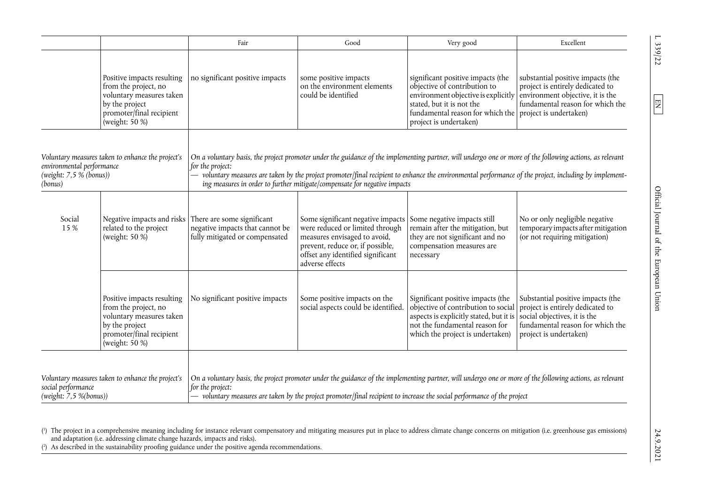|                                                                                                                        |                                                                                                                                                   | Fair                                                                                            | Good                                                                                                                                                                                                                                                                                    | Very good                                                                                                                                                                                                                  | Excellent                                                                                                                                                           |
|------------------------------------------------------------------------------------------------------------------------|---------------------------------------------------------------------------------------------------------------------------------------------------|-------------------------------------------------------------------------------------------------|-----------------------------------------------------------------------------------------------------------------------------------------------------------------------------------------------------------------------------------------------------------------------------------------|----------------------------------------------------------------------------------------------------------------------------------------------------------------------------------------------------------------------------|---------------------------------------------------------------------------------------------------------------------------------------------------------------------|
|                                                                                                                        | Positive impacts resulting<br>from the project, no<br>voluntary measures taken<br>by the project<br>promoter/final recipient<br>(weight: $50\%$ ) | no significant positive impacts                                                                 | some positive impacts<br>on the environment elements<br>could be identified                                                                                                                                                                                                             | significant positive impacts (the<br>objective of contribution to<br>environment objective is explicitly<br>stated, but it is not the<br>fundamental reason for which the project is undertaken)<br>project is undertaken) | substantial positive impacts (the<br>project is entirely dedicated to<br>environment objective, it is the<br>fundamental reason for which the                       |
| Voluntary measures taken to enhance the project's<br>environmental performance<br>(weight: $7.5\%$ (bonus))<br>(bonus) |                                                                                                                                                   | for the project:<br>$\overline{\phantom{0}}$                                                    | On a voluntary basis, the project promoter under the guidance of the implementing partner, will undergo one or more of the following actions, as relevant<br>ing measures in order to further mitigate/compensate for negative impacts                                                  |                                                                                                                                                                                                                            | voluntary measures are taken by the project promoter/final recipient to enhance the environmental performance of the project, including by implement-               |
| Social<br>15 %                                                                                                         | Negative impacts and risks<br>related to the project<br>(weight: $50\%$ )                                                                         | There are some significant<br>negative impacts that cannot be<br>fully mitigated or compensated | Some significant negative impacts<br>were reduced or limited through<br>measures envisaged to avoid,<br>prevent, reduce or, if possible,<br>offset any identified significant<br>adverse effects                                                                                        | Some negative impacts still<br>remain after the mitigation, but<br>they are not significant and no<br>compensation measures are<br>necessary                                                                               | No or only negligible negative<br>temporary impacts after mitigation<br>(or not requiring mitigation)                                                               |
|                                                                                                                        | Positive impacts resulting<br>from the project, no<br>voluntary measures taken<br>by the project<br>promoter/final recipient<br>(weight: 50 %)    | No significant positive impacts                                                                 | Some positive impacts on the<br>social aspects could be identified.                                                                                                                                                                                                                     | Significant positive impacts (the<br>objective of contribution to social<br>aspects is explicitly stated, but it is<br>not the fundamental reason for<br>which the project is undertaken)                                  | Substantial positive impacts (the<br>project is entirely dedicated to<br>social objectives, it is the<br>fundamental reason for which the<br>project is undertaken) |
| Voluntary measures taken to enhance the project's<br>social performance<br>(weight: 7.5 % (bonus))                     |                                                                                                                                                   | for the project:                                                                                | On a voluntary basis, the project promoter under the guidance of the implementing partner, will undergo one or more of the following actions, as relevant<br>$-$ voluntary measures are taken by the project promoter/final recipient to increase the social performance of the project |                                                                                                                                                                                                                            |                                                                                                                                                                     |

[\(1\)](#page-17-0) The project in a comprehensive meaning including for instance relevant compensatory and mitigating measures put in place to address climate change concerns on mitigation (i.e. greenhouse gas emissions) and adaptation (i.e. addressing climate change hazards, impacts and risks).

[\(2\)](#page-17-1) As described in the sustainability proofing guidance under the positive agenda recommendations.

<span id="page-18-1"></span><span id="page-18-0"></span> $\boxed{EN}$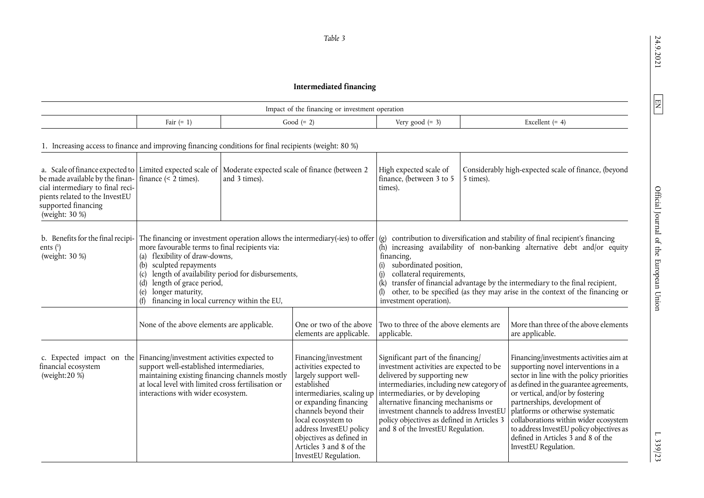# **Intermediated financing**

<span id="page-19-0"></span>

|                                                                                                                                                                                                                                                           |                                                                                                                                                                                                                                       |                                                                                                                                                                                | Impact of the financing or investment operation                                                                                                                                                                                                                                                         |                                                                                                                                                                                                                                                                                                                                                                                                                                             |           |                                                                                                                                                                                                                                                                                                                                                                                                                                    |
|-----------------------------------------------------------------------------------------------------------------------------------------------------------------------------------------------------------------------------------------------------------|---------------------------------------------------------------------------------------------------------------------------------------------------------------------------------------------------------------------------------------|--------------------------------------------------------------------------------------------------------------------------------------------------------------------------------|---------------------------------------------------------------------------------------------------------------------------------------------------------------------------------------------------------------------------------------------------------------------------------------------------------|---------------------------------------------------------------------------------------------------------------------------------------------------------------------------------------------------------------------------------------------------------------------------------------------------------------------------------------------------------------------------------------------------------------------------------------------|-----------|------------------------------------------------------------------------------------------------------------------------------------------------------------------------------------------------------------------------------------------------------------------------------------------------------------------------------------------------------------------------------------------------------------------------------------|
|                                                                                                                                                                                                                                                           | Fair $(= 1)$                                                                                                                                                                                                                          |                                                                                                                                                                                | Good $(= 2)$                                                                                                                                                                                                                                                                                            | Very good $(= 3)$                                                                                                                                                                                                                                                                                                                                                                                                                           |           | Excellent $(= 4)$                                                                                                                                                                                                                                                                                                                                                                                                                  |
| 1. Increasing access to finance and improving financing conditions for final recipients (weight: 80 %)                                                                                                                                                    |                                                                                                                                                                                                                                       |                                                                                                                                                                                |                                                                                                                                                                                                                                                                                                         |                                                                                                                                                                                                                                                                                                                                                                                                                                             |           |                                                                                                                                                                                                                                                                                                                                                                                                                                    |
| a. Scale of finance expected to Limited expected scale of Moderate expected scale of finance (between 2<br>be made available by the finan-<br>cial intermediary to final reci-<br>pients related to the InvestEU<br>supported financing<br>(weight: 30 %) | finance $\left($ < 2 times).                                                                                                                                                                                                          | and 3 times).                                                                                                                                                                  |                                                                                                                                                                                                                                                                                                         | High expected scale of<br>finance, (between 3 to 5<br>times).                                                                                                                                                                                                                                                                                                                                                                               | 5 times). | Considerably high-expected scale of finance, (beyond                                                                                                                                                                                                                                                                                                                                                                               |
| b. Benefits for the final recipi-<br>ents $(^{1})$<br>(weight: 30 %)                                                                                                                                                                                      | more favourable terms to final recipients via:<br>(a) flexibility of draw-downs,<br>(b)<br>sculpted repayments<br>(c)<br>length of grace period,<br>(d)<br>longer maturity,<br>(e)                                                    | The financing or investment operation allows the intermediary(-ies) to offer<br>length of availability period for disbursements,<br>financing in local currency within the EU, |                                                                                                                                                                                                                                                                                                         | contribution to diversification and stability of final recipient's financing<br>(g)<br>(h) increasing availability of non-banking alternative debt and/or equity<br>financing,<br>subordinated position,<br>(i)<br>collateral requirements,<br>transfer of financial advantage by the intermediary to the final recipient,<br>(k)<br>other, to be specified (as they may arise in the context of the financing or<br>investment operation). |           |                                                                                                                                                                                                                                                                                                                                                                                                                                    |
|                                                                                                                                                                                                                                                           | None of the above elements are applicable.                                                                                                                                                                                            |                                                                                                                                                                                | One or two of the above<br>elements are applicable.                                                                                                                                                                                                                                                     | Two to three of the above elements are<br>applicable.                                                                                                                                                                                                                                                                                                                                                                                       |           | More than three of the above elements<br>are applicable.                                                                                                                                                                                                                                                                                                                                                                           |
| c. Expected impact on the<br>financial ecosystem<br>(weight: $20\%$ )                                                                                                                                                                                     | Financing/investment activities expected to<br>support well-established intermediaries,<br>maintaining existing financing channels mostly<br>at local level with limited cross fertilisation or<br>interactions with wider ecosystem. |                                                                                                                                                                                | Financing/investment<br>activities expected to<br>largely support well-<br>established<br>intermediaries, scaling up<br>or expanding financing<br>channels beyond their<br>local ecosystem to<br>address InvestEU policy<br>objectives as defined in<br>Articles 3 and 8 of the<br>InvestEU Regulation. | Significant part of the financing/<br>investment activities are expected to be<br>delivered by supporting new<br>intermediaries, including new category of<br>intermediaries, or by developing<br>alternative financing mechanisms or<br>investment channels to address InvestEU<br>policy objectives as defined in Articles 3<br>and 8 of the InvestEU Regulation.                                                                         |           | Financing/investments activities aim at<br>supporting novel interventions in a<br>sector in line with the policy priorities<br>as defined in the guarantee agreements,<br>or vertical, and/or by fostering<br>partnerships, development of<br>platforms or otherwise systematic<br>collaborations within wider ecosystem<br>to address InvestEU policy objectives as<br>defined in Articles 3 and 8 of the<br>InvestEU Regulation. |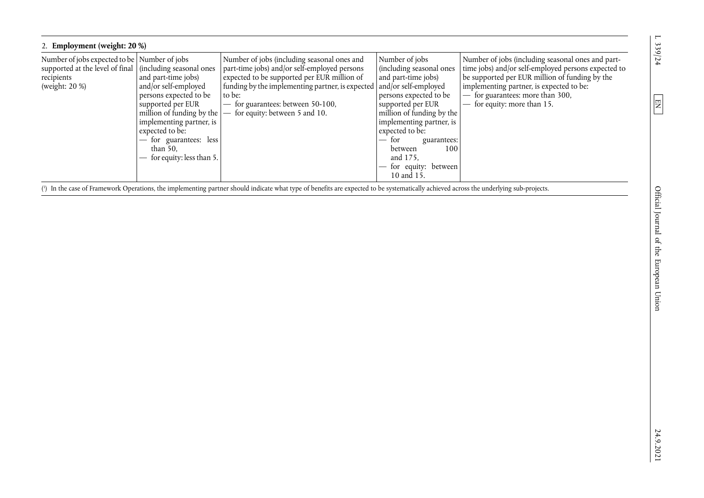| 2. Employment (weight: 20 %)                                                                                                               |                                                                                                                                                                                                                                             |                                                                                                                                                                                                                                                                                                     |                                                                                                                                                                                                                                                                                         |                                                                                                                                                                                                                                                                                                   |  |  |  |
|--------------------------------------------------------------------------------------------------------------------------------------------|---------------------------------------------------------------------------------------------------------------------------------------------------------------------------------------------------------------------------------------------|-----------------------------------------------------------------------------------------------------------------------------------------------------------------------------------------------------------------------------------------------------------------------------------------------------|-----------------------------------------------------------------------------------------------------------------------------------------------------------------------------------------------------------------------------------------------------------------------------------------|---------------------------------------------------------------------------------------------------------------------------------------------------------------------------------------------------------------------------------------------------------------------------------------------------|--|--|--|
| Number of jobs expected to be Number of jobs<br>supported at the level of final   (including seasonal ones<br>recipients<br>(weight: 20 %) | and part-time jobs)<br>and/or self-employed<br>persons expected to be<br>supported per EUR<br>million of funding by the<br>implementing partner, is<br>expected to be:<br>- for guarantees: less<br>than $50$ ,<br>for equity: less than 5. | Number of jobs (including seasonal ones and<br>part-time jobs) and/or self-employed persons<br>expected to be supported per EUR million of<br>funding by the implementing partner, is expected   and/or self-employed<br>to be:<br>for guarantees: between 50-100,<br>for equity: between 5 and 10. | Number of jobs<br>(including seasonal ones<br>and part-time jobs)<br>persons expected to be<br>supported per EUR<br>million of funding by the<br>implementing partner, is<br>expected to be:<br>— for<br>guarantees:<br>100<br>between<br>and 175.<br>for equity: between<br>10 and 15. | Number of jobs (including seasonal ones and part-<br>time jobs) and/or self-employed persons expected to<br>be supported per EUR million of funding by the<br>implementing partner, is expected to be:<br>for guarantees: more than 300,<br>for equity: more than 15.<br>$\overline{\phantom{0}}$ |  |  |  |

[\(](#page-19-0) 1 ) In the case of Framework Operations, the implementing partner should indicate what type of benefits are expected to be systematically achieved across the underlying sub-projects.

 $1.339/24$ 

<span id="page-20-0"></span> $\boxed{\text{EN}}$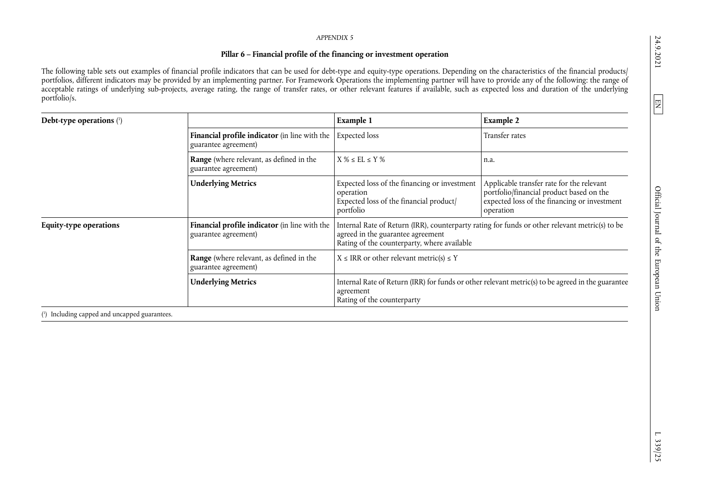## <span id="page-21-1"></span>**Pillar 6 – Financial profile of the financing or investment operation**

The following table sets out examples of financial profile indicators that can be used for debt-type and equity-type operations. Depending on the characteristics of the financial products/ portfolios, different indicators may be provided by an implementing partner. For Framework Operations the implementing partner will have to provide any of the following: the range of acceptable ratings of underlying sub-projects, average rating, the range of transfer rates, or other relevant features if available, such as expected loss and duration of the underlying portfolio/s.

| Debt-type operations $(1)$                    |                                                                       | Example 1                                                                                                                                                                          | <b>Example 2</b>                                                                                                                                   |
|-----------------------------------------------|-----------------------------------------------------------------------|------------------------------------------------------------------------------------------------------------------------------------------------------------------------------------|----------------------------------------------------------------------------------------------------------------------------------------------------|
|                                               | Financial profile indicator (in line with the<br>guarantee agreement) | <b>Expected</b> loss                                                                                                                                                               | Transfer rates                                                                                                                                     |
|                                               | Range (where relevant, as defined in the<br>guarantee agreement)      | $X \% \le EL \le Y \%$                                                                                                                                                             | n.a.                                                                                                                                               |
|                                               | <b>Underlying Metrics</b>                                             | Expected loss of the financing or investment<br>operation<br>Expected loss of the financial product/<br>portfolio                                                                  | Applicable transfer rate for the relevant<br>portfolio/financial product based on the<br>expected loss of the financing or investment<br>operation |
| <b>Equity-type operations</b>                 | Financial profile indicator (in line with the<br>guarantee agreement) | Internal Rate of Return (IRR), counterparty rating for funds or other relevant metric(s) to be<br>agreed in the guarantee agreement<br>Rating of the counterparty, where available |                                                                                                                                                    |
|                                               | Range (where relevant, as defined in the<br>guarantee agreement)      | $X \leq IRR$ or other relevant metric(s) $\leq Y$                                                                                                                                  |                                                                                                                                                    |
|                                               | <b>Underlying Metrics</b>                                             | Internal Rate of Return (IRR) for funds or other relevant metric(s) to be agreed in the guarantee<br>agreement<br>Rating of the counterparty                                       |                                                                                                                                                    |
| (1) Including capped and uncapped guarantees. |                                                                       |                                                                                                                                                                                    |                                                                                                                                                    |

24.9.2021

<span id="page-21-0"></span> $\boxed{\Xi}$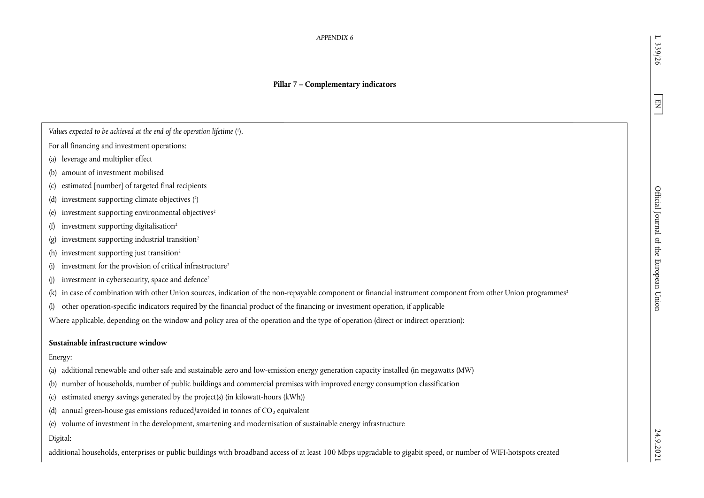## **Pillar 7 – Complementary indicators**

*Values expected to be achieved at the end of the operation lifetime [\(1\)](#page-24-0).* 

- For all financing and investment operations:
- (a) leverage and multiplier effect
- (b) amount of investment mobilised
- (c) estimated [number] of targeted final recipients
- (d) investment supporting climate objectives [\(2\)](#page-24-1)
- (e) investment supporting environmental objectives<sup>2</sup>
- (f) investment supporting digitalisation<sup>2</sup>
- (g) investment supporting industrial transition<sup>2</sup>
- (h) investment supporting just transition<sup>2</sup>
- (i) investment for the provision of critical infrastructure<sup>2</sup>
- (j) investment in cybersecurity, space and defence<sup>2</sup>
- (k) in case of combination with other Union sources, indication of the non-repayable component or financial instrument component from other Union programmes<sup>2</sup>
- (l) other operation-specific indicators required by the financial product of the financing or investment operation, if applicable

Where applicable, depending on the window and policy area of the operation and the type of operation (direct or indirect operation):

## **Sustainable infrastructure window**

## Energy:

- (a) additional renewable and other safe and sustainable zero and low-emission energy generation capacity installed (in megawatts (MW)
- (b) number of households, number of public buildings and commercial premises with improved energy consumption classification
- (c) estimated energy savings generated by the project(s) (in kilowatt-hours (kWh))
- (d) annual green-house gas emissions reduced/avoided in tonnes of  $CO<sub>2</sub>$  equivalent
- (e) volume of investment in the development, smartening and modernisation of sustainable energy infrastructure

## Digital:

additional households, enterprises or public buildings with broadband access of at least 100 Mbps upgradable to gigabit speed, or number of WIFI-hotspots created

 $\overline{\phantom{0}}$ 339/26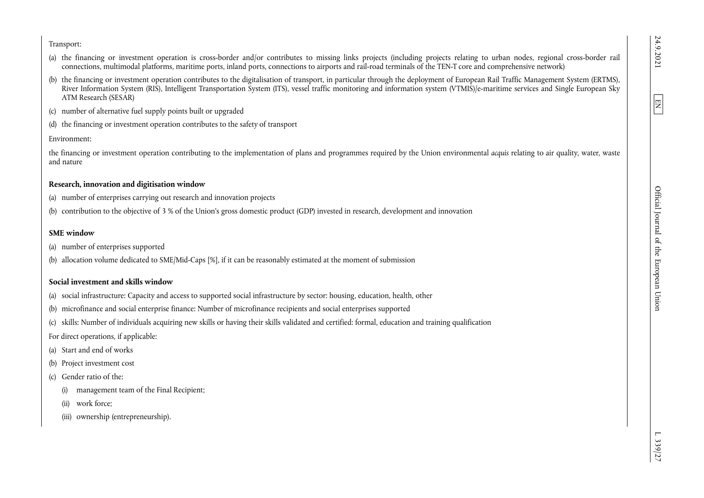Transport:

- (a) the financing or investment operation is cross-border and/or contributes to missing links projects (including projects relating to urban nodes, regional cross-border rail connections, multimodal platforms, maritime ports, inland ports, connections to airports and rail-road terminals of the TEN-T core and comprehensive network)
- (b) the financing or investment operation contributes to the digitalisation of transport, in particular through the deployment of European Rail Traffic Management System (ERTMS), River Information System (RIS), Intelligent Transportation System (ITS), vessel traffic monitoring and information system (VTMIS)/e-maritime services and Single European Sky ATM Research (SESAR)
- (c) number of alternative fuel supply points built or upgraded
- (d) the financing or investment operation contributes to the safety of transport

Environment:

the financing or investment operation contributing to the implementation of plans and programmes required by the Union environmental *acquis* relating to air quality, water, waste and nature

## **Research, innovation and digitisation window**

- (a) number of enterprises carrying out research and innovation projects
- (b) contribution to the objective of 3 % of the Union's gross domestic product (GDP) invested in research, development and innovation

## **SME window**

- (a) number of enterprises supported
- (b) allocation volume dedicated to SME/Mid-Caps [%], if it can be reasonably estimated at the moment of submission

## **Social investment and skills window**

- (a) social infrastructure: Capacity and access to supported social infrastructure by sector: housing, education, health, other
- (b) microfinance and social enterprise finance: Number of microfinance recipients and social enterprises supported
- (c) skills: Number of individuals acquiring new skills or having their skills validated and certified: formal, education and training qualification

For direct operations, if applicable:

- (a) Start and end of works
- (b) Project investment cost
- (c) Gender ratio of the:
	- (i) management team of the Final Recipient;
	- (ii) work force;
	- (iii) ownership (entrepreneurship).